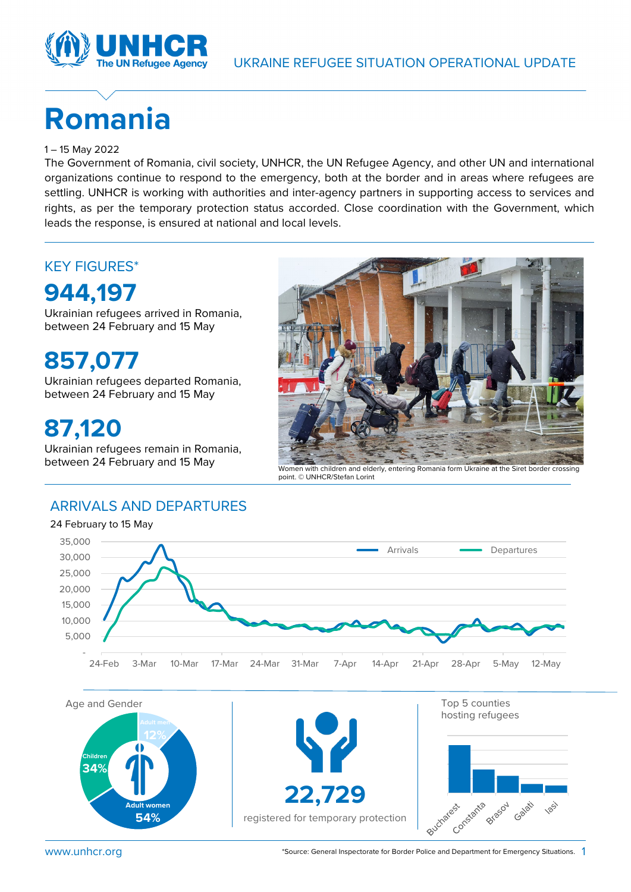

# **Romania**

#### 1 – 15 May 2022

The Government of Romania, civil society, UNHCR, the UN Refugee Agency, and other UN and international organizations continue to respond to the emergency, both at the border and in areas where refugees are settling. UNHCR is working with authorities and inter-agency partners in supporting access to services and rights, as per the temporary protection status accorded. Close coordination with the Government, which leads the response, is ensured at national and local levels.

### KEY FIGURES\*

### **944,197**

Ukrainian refugees arrived in Romania, between 24 February and 15 May

**857,077**

Ukrainian refugees departed Romania, between 24 February and 15 May

### **87,120**

Ukrainian refugees remain in Romania,



between 24 February and 15 May Women with children and elderly, entering Romania form Ukraine at the Siret border crossing point. © UNHCR/Stefan Lorint

#### ARRIVALS AND DEPARTURES

24 February to 15 May



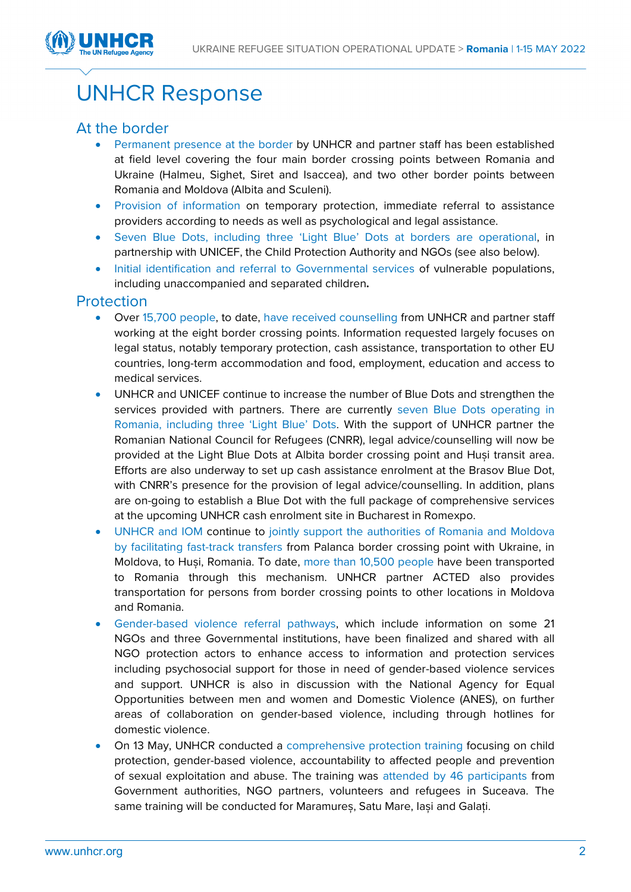

## UNHCR Response

#### At the border

- Permanent presence at the border by UNHCR and partner staff has been established at field level covering the four main border crossing points between Romania and Ukraine (Halmeu, Sighet, Siret and Isaccea), and two other border points between Romania and Moldova (Albita and Sculeni).
- Provision of information on temporary protection, immediate referral to assistance providers according to needs as well as psychological and legal assistance.
- Seven Blue Dots, including three 'Light Blue' Dots at borders are operational, in partnership with UNICEF, the Child Protection Authority and NGOs (see also below).
- Initial identification and referral to Governmental services of vulnerable populations, including unaccompanied and separated children**.**

#### **Protection**

- Over 15,700 people, to date, have received counselling from UNHCR and partner staff working at the eight border crossing points. Information requested largely focuses on legal status, notably temporary protection, cash assistance, transportation to other EU countries, long-term accommodation and food, employment, education and access to medical services.
- UNHCR and UNICEF continue to increase the number of Blue Dots and strengthen the services provided with partners. There are currently seven Blue Dots operating in Romania, including three 'Light Blue' Dots. With the support of UNHCR partner the Romanian National Council for Refugees (CNRR), legal advice/counselling will now be provided at the Light Blue Dots at Albita border crossing point and Huși transit area. Efforts are also underway to set up cash assistance enrolment at the Brasov Blue Dot, with CNRR's presence for the provision of legal advice/counselling. In addition, plans are on-going to establish a Blue Dot with the full package of comprehensive services at the upcoming UNHCR cash enrolment site in Bucharest in Romexpo.
- UNHCR and IOM continue to jointly support the authorities of Romania and Moldova by facilitating fast-track transfers from Palanca border crossing point with Ukraine, in Moldova, to Huși, Romania. To date, more than 10,500 people have been transported to Romania through this mechanism. UNHCR partner ACTED also provides transportation for persons from border crossing points to other locations in Moldova and Romania.
- Gender-based violence referral pathways, which include information on some 21 NGOs and three Governmental institutions, have been finalized and shared with all NGO protection actors to enhance access to information and protection services including psychosocial support for those in need of gender-based violence services and support. UNHCR is also in discussion with the National Agency for Equal Opportunities between men and women and Domestic Violence (ANES), on further areas of collaboration on gender-based violence, including through hotlines for domestic violence.
- On 13 May, UNHCR conducted a comprehensive protection training focusing on child protection, gender-based violence, accountability to affected people and prevention of sexual exploitation and abuse. The training was attended by 46 participants from Government authorities, NGO partners, volunteers and refugees in Suceava. The same training will be conducted for Maramureș, Satu Mare, Iași and Galați.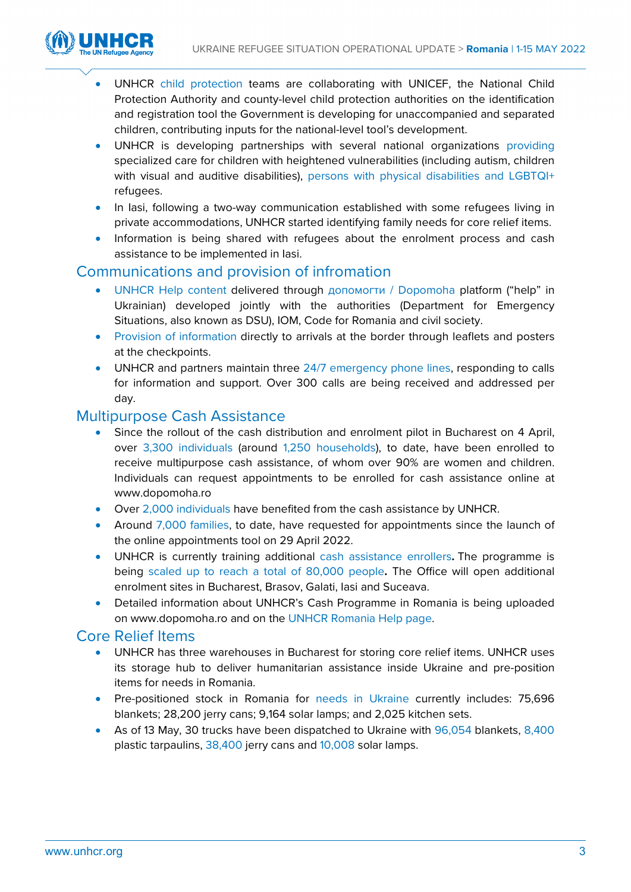

- UNHCR child protection teams are collaborating with UNICEF, the National Child Protection Authority and county-level child protection authorities on the identification and registration tool the Government is developing for unaccompanied and separated children, contributing inputs for the national-level tool's development.
- UNHCR is developing partnerships with several national organizations providing specialized care for children with heightened vulnerabilities (including autism, children with visual and auditive disabilities), persons with physical disabilities and LGBTQI+ refugees.
- In lasi, following a two-way communication established with some refugees living in private accommodations, UNHCR started identifying family needs for core relief items.
- Information is being shared with refugees about the enrolment process and cash assistance to be implemented in Iasi.

#### Communications and provision of infromation

- UNHCR Help content delivered through допомогти / Dopomoha platform ("help" in Ukrainian) developed jointly with the authorities (Department for Emergency Situations, also known as DSU), IOM, Code for Romania and civil society.
- Provision of information directly to arrivals at the border through leaflets and posters at the checkpoints.
- UNHCR and partners maintain three 24/7 emergency phone lines, responding to calls for information and support. Over 300 calls are being received and addressed per day.

#### Multipurpose Cash Assistance

- Since the rollout of the cash distribution and enrolment pilot in Bucharest on 4 April, over 3,300 individuals (around 1,250 households), to date, have been enrolled to receive multipurpose cash assistance, of whom over 90% are women and children. Individuals can request appointments to be enrolled for cash assistance online at www.dopomoha.ro
- Over 2,000 individuals have benefited from the cash assistance by UNHCR.
- Around 7,000 families, to date, have requested for appointments since the launch of the online appointments tool on 29 April 2022.
- UNHCR is currently training additional cash assistance enrollers**.** The programme is being scaled up to reach a total of 80,000 people**.** The Office will open additional enrolment sites in Bucharest, Brasov, Galati, Iasi and Suceava.
- Detailed information about UNHCR's Cash Programme in Romania is being uploaded on www.dopomoha.ro and on the [UNHCR Romania Help page.](https://help.unhcr.org/romania/)

#### Core Relief Items

- UNHCR has three warehouses in Bucharest for storing core relief items. UNHCR uses its storage hub to deliver humanitarian assistance inside Ukraine and pre-position items for needs in Romania.
- Pre-positioned stock in Romania for needs in Ukraine currently includes: 75,696 blankets; 28,200 jerry cans; 9,164 solar lamps; and 2,025 kitchen sets.
- As of 13 May, 30 trucks have been dispatched to Ukraine with 96,054 blankets, 8,400 plastic tarpaulins, 38,400 jerry cans and 10,008 solar lamps.